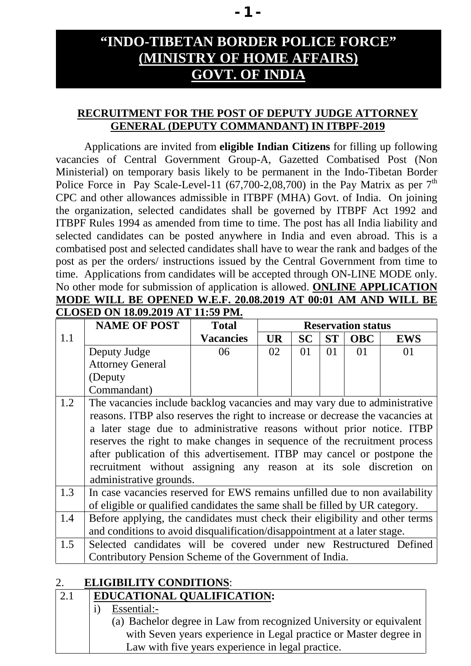# **"INDO-TIBETAN BORDER POLICE FORCE" (MINISTRY OF HOME AFFAIRS) GOVT. OF INDIA**

#### **RECRUITMENT FOR THE POST OF DEPUTY JUDGE ATTORNEY GENERAL (DEPUTY COMMANDANT) IN ITBPF-2019**

Applications are invited from **eligible Indian Citizens** for filling up following vacancies of Central Government Group-A, Gazetted Combatised Post (Non Ministerial) on temporary basis likely to be permanent in the Indo-Tibetan Border Police Force in Pay Scale-Level-11 (67,700-2,08,700) in the Pay Matrix as per  $7<sup>th</sup>$ CPC and other allowances admissible in ITBPF (MHA) Govt. of India. On joining the organization, selected candidates shall be governed by ITBPF Act 1992 and ITBPF Rules 1994 as amended from time to time. The post has all India liability and selected candidates can be posted anywhere in India and even abroad. This is a combatised post and selected candidates shall have to wear the rank and badges of the post as per the orders/ instructions issued by the Central Government from time to time. Applications from candidates will be accepted through ON-LINE MODE only. No other mode for submission of application is allowed. **ONLINE APPLICATION MODE WILL BE OPENED W.E.F. 20.08.2019 AT 00:01 AM AND WILL BE**

| CLOSED ON 18.09.2019 AT 11:59 PM. |                                                                                |                  |           |                           |           |            |            |  |
|-----------------------------------|--------------------------------------------------------------------------------|------------------|-----------|---------------------------|-----------|------------|------------|--|
|                                   | <b>NAME OF POST</b>                                                            | <b>Total</b>     |           | <b>Reservation status</b> |           |            |            |  |
| 1.1                               |                                                                                | <b>Vacancies</b> | <b>UR</b> | <b>SC</b>                 | <b>ST</b> | <b>OBC</b> | <b>EWS</b> |  |
|                                   | Deputy Judge                                                                   | 06               | 02        | 01                        | 01        | 01         | 01         |  |
|                                   | <b>Attorney General</b>                                                        |                  |           |                           |           |            |            |  |
|                                   | (Deputy)                                                                       |                  |           |                           |           |            |            |  |
|                                   | Commandant)                                                                    |                  |           |                           |           |            |            |  |
| 1.2                               | The vacancies include backlog vacancies and may vary due to administrative     |                  |           |                           |           |            |            |  |
|                                   | reasons. ITBP also reserves the right to increase or decrease the vacancies at |                  |           |                           |           |            |            |  |
|                                   | a later stage due to administrative reasons without prior notice. ITBP         |                  |           |                           |           |            |            |  |
|                                   | reserves the right to make changes in sequence of the recruitment process      |                  |           |                           |           |            |            |  |
|                                   | after publication of this advertisement. ITBP may cancel or postpone the       |                  |           |                           |           |            |            |  |
|                                   | recruitment without assigning any reason at its sole discretion on             |                  |           |                           |           |            |            |  |
|                                   | administrative grounds.                                                        |                  |           |                           |           |            |            |  |
| 1.3                               | In case vacancies reserved for EWS remains unfilled due to non availability    |                  |           |                           |           |            |            |  |
|                                   | of eligible or qualified candidates the same shall be filled by UR category.   |                  |           |                           |           |            |            |  |
| 1.4                               | Before applying, the candidates must check their eligibility and other terms   |                  |           |                           |           |            |            |  |
|                                   | and conditions to avoid disqualification/disappointment at a later stage.      |                  |           |                           |           |            |            |  |
| 1.5                               | Selected candidates will be covered under new Restructured Defined             |                  |           |                           |           |            |            |  |
|                                   | Contributory Pension Scheme of the Government of India.                        |                  |           |                           |           |            |            |  |

#### 2. **ELIGIBILITY CONDITIONS**:

# 2.1 **EDUCATIONAL QUALIFICATION:** i) Essential:-

(a) Bachelor degree in Law from recognized University or equivalent with Seven years experience in Legal practice or Master degree in Law with five years experience in legal practice.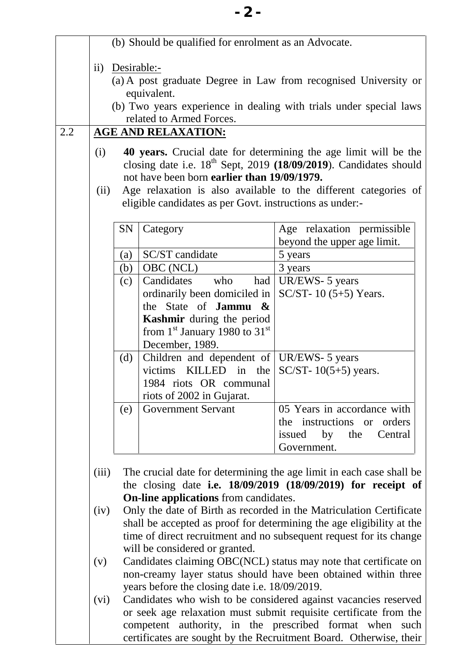|                     |             | (b) Should be qualified for enrolment as an Advocate.                           |                                                                                                                                       |
|---------------------|-------------|---------------------------------------------------------------------------------|---------------------------------------------------------------------------------------------------------------------------------------|
| $\ddot{\mathbf{i}}$ | Desirable:- | equivalent.<br>related to Armed Forces.<br><b>AGE AND RELAXATION:</b>           | (a) A post graduate Degree in Law from recognised University or<br>(b) Two years experience in dealing with trials under special laws |
| (i)                 |             |                                                                                 | <b>40 years.</b> Crucial date for determining the age limit will be the                                                               |
|                     |             | not have been born earlier than 19/09/1979.                                     | closing date i.e. $18th$ Sept, 2019 (18/09/2019). Candidates should                                                                   |
| (ii)                |             | eligible candidates as per Govt. instructions as under:-                        | Age relaxation is also available to the different categories of                                                                       |
|                     | SN          | Category                                                                        | Age relaxation permissible                                                                                                            |
|                     |             |                                                                                 | beyond the upper age limit.                                                                                                           |
|                     | (a)         | SC/ST candidate                                                                 | 5 years                                                                                                                               |
|                     | (b)         | OBC (NCL)                                                                       | 3 years                                                                                                                               |
|                     | (c)         | had<br>Candidates<br>who                                                        | UR/EWS- 5 years                                                                                                                       |
|                     |             | ordinarily been domiciled in                                                    | $SC/ST-10$ (5+5) Years.                                                                                                               |
|                     |             | the State of <b>Jammu</b> $\&$                                                  |                                                                                                                                       |
|                     |             | <b>Kashmir</b> during the period<br>from $1st$ January 1980 to 31 <sup>st</sup> |                                                                                                                                       |
|                     |             | December, 1989.                                                                 |                                                                                                                                       |
|                     | (d)         | Children and dependent of   UR/EWS- 5 years                                     |                                                                                                                                       |
|                     |             | KILLED<br>in the<br>victims                                                     | SC/ST- $10(5+5)$ years.                                                                                                               |
|                     |             | 1984 riots OR communal                                                          |                                                                                                                                       |
|                     |             | riots of 2002 in Gujarat.                                                       |                                                                                                                                       |
|                     | (e)         | <b>Government Servant</b>                                                       | 05 Years in accordance with                                                                                                           |
|                     |             |                                                                                 | the instructions or orders                                                                                                            |
|                     |             |                                                                                 | issued<br>by<br>the<br>Central                                                                                                        |
|                     |             |                                                                                 | Government.                                                                                                                           |
| (iii)               |             |                                                                                 | The crucial date for determining the age limit in each case shall be                                                                  |
|                     |             |                                                                                 | the closing date i.e. $18/09/2019$ $(18/09/2019)$ for receipt of                                                                      |
|                     |             | <b>On-line applications</b> from candidates.                                    |                                                                                                                                       |
| (iv)                |             |                                                                                 | Only the date of Birth as recorded in the Matriculation Certificate                                                                   |
|                     |             |                                                                                 | shall be accepted as proof for determining the age eligibility at the                                                                 |
|                     |             |                                                                                 | time of direct recruitment and no subsequent request for its change                                                                   |
| (v)                 |             | will be considered or granted.                                                  | Candidates claiming OBC(NCL) status may note that certificate on                                                                      |
|                     |             |                                                                                 | non-creamy layer status should have been obtained within three                                                                        |
|                     |             | years before the closing date i.e. 18/09/2019.                                  |                                                                                                                                       |
| (vi)                |             |                                                                                 | Candidates who wish to be considered against vacancies reserved                                                                       |
|                     |             |                                                                                 | or seek age relaxation must submit requisite certificate from the                                                                     |
|                     |             |                                                                                 | competent authority, in the prescribed format when such                                                                               |
|                     |             |                                                                                 | certificates are sought by the Recruitment Board. Otherwise, their                                                                    |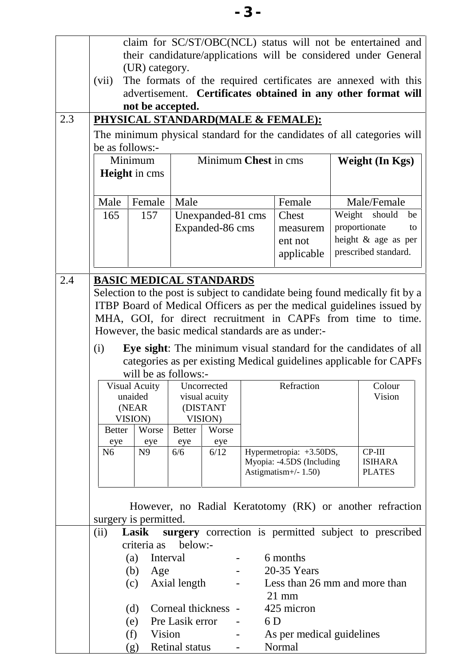|                       | not be accepted.                                                                                    |                                                                   |                                      |     | advertisement. Certificates obtained in any other format will<br>PHYSICAL STANDARD(MALE & FEMALE):<br>The minimum physical standard for the candidates of all categories will                                                                                 |                        |                                                                               |                                                                        |
|-----------------------|-----------------------------------------------------------------------------------------------------|-------------------------------------------------------------------|--------------------------------------|-----|---------------------------------------------------------------------------------------------------------------------------------------------------------------------------------------------------------------------------------------------------------------|------------------------|-------------------------------------------------------------------------------|------------------------------------------------------------------------|
| be as follows:-       | Minimum<br><b>Height</b> in cms                                                                     | Minimum Chest in cms                                              |                                      |     |                                                                                                                                                                                                                                                               | <b>Weight (In Kgs)</b> |                                                                               |                                                                        |
| Male                  | Female                                                                                              | Male                                                              |                                      |     | Female                                                                                                                                                                                                                                                        |                        | Male/Female                                                                   |                                                                        |
| 165                   | 157                                                                                                 |                                                                   | Unexpanded-81 cms<br>Expanded-86 cms |     | Chest<br>measurem<br>ent not<br>applicable                                                                                                                                                                                                                    |                        | Weight should<br>proportionate<br>height & age as per<br>prescribed standard. | be<br>to                                                               |
|                       |                                                                                                     |                                                                   |                                      |     | MHA, GOI, for direct recruitment in CAPFs from time to time.<br>However, the basic medical standards are as under:-<br>Eye sight: The minimum visual standard for the candidates of all<br>categories as per existing Medical guidelines applicable for CAPFs |                        |                                                                               | ITBP Board of Medical Officers as per the medical guidelines issued by |
| (i)                   | will be as follows:-<br>Visual Acuity   Uncorrected<br>unaided<br>(NEAR<br>VISION)                  | visual acuity<br>(DISTANT<br>VISION)                              |                                      |     | Refraction                                                                                                                                                                                                                                                    |                        | Colour<br>Vision                                                              |                                                                        |
| <b>Better</b>         | Worse                                                                                               | <b>Better</b>                                                     | Worse                                |     |                                                                                                                                                                                                                                                               |                        |                                                                               |                                                                        |
| eye<br>N <sub>6</sub> | eye<br>N <sub>9</sub>                                                                               | eye<br>6/6                                                        | eye<br>6/12                          |     | Hypermetropia: +3.50DS,<br>Myopia: -4.5DS (Including<br>Astigmatism $+/- 1.50$ )                                                                                                                                                                              |                        | $CP-III$<br><b>ISIHARA</b><br><b>PLATES</b>                                   |                                                                        |
| (ii)                  | surgery is permitted.<br>Lasik<br>criteria as<br>(a)<br>Interval<br>(b)<br>Age<br>(c)<br>(d)<br>(e) | below:-<br>Axial length<br>Corneal thickness -<br>Pre Lasik error | $\overline{\phantom{a}}$             | 6 D | However, no Radial Keratotomy (RK) or another refraction<br>surgery correction is permitted subject to prescribed<br>6 months<br>20-35 Years<br>Less than 26 mm and more than<br>$21 \text{ mm}$<br>425 micron                                                |                        |                                                                               |                                                                        |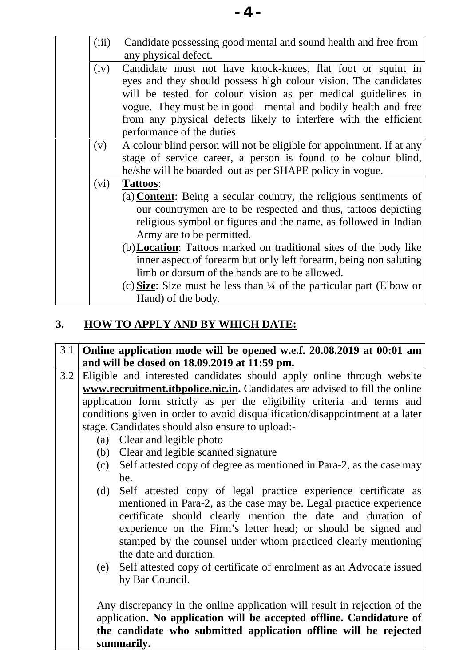# **3. HOW TO APPLY AND BY WHICH DATE:**

- 3.1 **Online application mode will be opened w.e.f. 20.08.2019 at 00:01 am and will be closed on 18.09.2019 at 11:59 pm.**
- 3.2 Eligible and interested candidates should apply online through website **www.recruitment.itbpolice.nic.in.** Candidates are advised to fill the online application form strictly as per the eligibility criteria and terms and conditions given in order to avoid disqualification/disappointment at a later stage. Candidates should also ensure to upload:-
	- (a) Clear and legible photo
	- (b) Clear and legible scanned signature
	- (c) Self attested copy of degree as mentioned in Para-2, as the case may be.
	- (d) Self attested copy of legal practice experience certificate as mentioned in Para-2, as the case may be. Legal practice experience certificate should clearly mention the date and duration of experience on the Firm's letter head; or should be signed and stamped by the counsel under whom practiced clearly mentioning the date and duration.
	- (e) Self attested copy of certificate of enrolment as an Advocate issued by Bar Council.

Any discrepancy in the online application will result in rejection of the application. **No application will be accepted offline. Candidature of the candidate who submitted application offline will be rejected summarily.**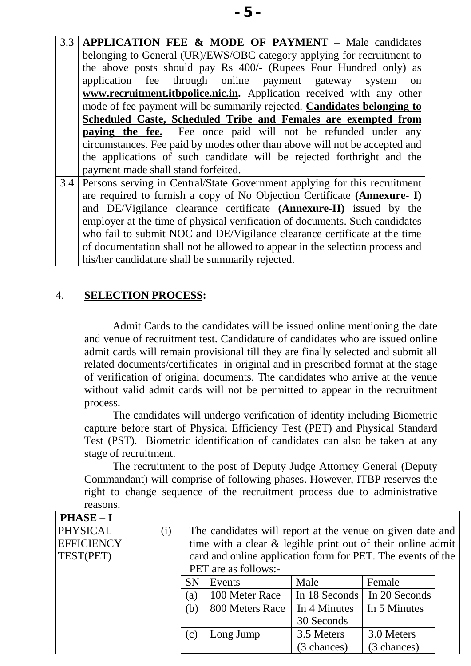3.3 **APPLICATION FEE & MODE OF PAYMENT** – Male candidates belonging to General (UR)/EWS/OBC category applying for recruitment to the above posts should pay Rs 400/- (Rupees Four Hundred only) as application fee through online payment gateway system on **www.recruitment.itbpolice.nic.in.** Application received with any other mode of fee payment will be summarily rejected. **Candidates belonging to Scheduled Caste, Scheduled Tribe and Females are exempted from paying the fee.** Fee once paid will not be refunded under any circumstances. Fee paid by modes other than above will not be accepted and the applications of such candidate will be rejected forthright and the payment made shall stand forfeited. 3.4 Persons serving in Central/State Government applying for this recruitment are required to furnish a copy of No Objection Certificate **(Annexure- I)** and DE/Vigilance clearance certificate **(Annexure-II)** issued by the

employer at the time of physical verification of documents. Such candidates who fail to submit NOC and DE/Vigilance clearance certificate at the time of documentation shall not be allowed to appear in the selection process and his/her candidature shall be summarily rejected.

## 4. **SELECTION PROCESS:**

Admit Cards to the candidates will be issued online mentioning the date and venue of recruitment test. Candidature of candidates who are issued online admit cards will remain provisional till they are finally selected and submit all related documents/certificates in original and in prescribed format at the stage of verification of original documents. The candidates who arrive at the venue without valid admit cards will not be permitted to appear in the recruitment process.

The candidates will undergo verification of identity including Biometric capture before start of Physical Efficiency Test (PET) and Physical Standard Test (PST). Biometric identification of candidates can also be taken at any stage of recruitment.

The recruitment to the post of Deputy Judge Attorney General (Deputy Commandant) will comprise of following phases. However, ITBP reserves the right to change sequence of the recruitment process due to administrative reasons.

| <b>PHASE-I</b>    |                                                                  |           |             |             |  |  |  |
|-------------------|------------------------------------------------------------------|-----------|-------------|-------------|--|--|--|
| <b>PHYSICAL</b>   | (i)<br>The candidates will report at the venue on given date and |           |             |             |  |  |  |
| <b>EFFICIENCY</b> | time with a clear & legible print out of their online admit      |           |             |             |  |  |  |
| TEST(PET)         | card and online application form for PET. The events of the      |           |             |             |  |  |  |
|                   | PET are as follows:-                                             |           |             |             |  |  |  |
|                   | <b>SN</b><br>Male<br>Events<br>Female                            |           |             |             |  |  |  |
|                   | In 20 Seconds<br>100 Meter Race<br>In 18 Seconds<br>(a)          |           |             |             |  |  |  |
|                   | In 4 Minutes<br>(b)<br>800 Meters Race<br>In 5 Minutes           |           |             |             |  |  |  |
|                   | 30 Seconds                                                       |           |             |             |  |  |  |
|                   | (c)                                                              | Long Jump | 3.5 Meters  | 3.0 Meters  |  |  |  |
|                   |                                                                  |           | (3 chances) | (3 chances) |  |  |  |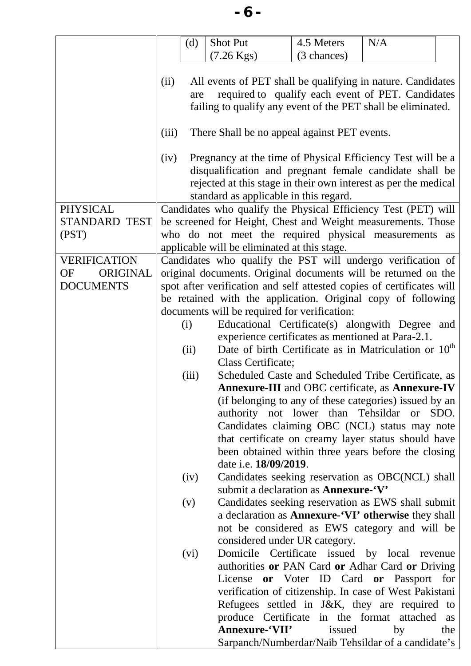|                                              | (d)                                                                                                                                                                                                                                                      | Shot Put                                                                                                                                                                                                                            | 4.5 Meters  | N/A |     |  |
|----------------------------------------------|----------------------------------------------------------------------------------------------------------------------------------------------------------------------------------------------------------------------------------------------------------|-------------------------------------------------------------------------------------------------------------------------------------------------------------------------------------------------------------------------------------|-------------|-----|-----|--|
|                                              |                                                                                                                                                                                                                                                          | $(7.26 \text{ Kgs})$                                                                                                                                                                                                                | (3 chances) |     |     |  |
|                                              | All events of PET shall be qualifying in nature. Candidates<br>(ii)<br>required to qualify each event of PET. Candidates<br>are<br>failing to qualify any event of the PET shall be eliminated.<br>There Shall be no appeal against PET events.<br>(iii) |                                                                                                                                                                                                                                     |             |     |     |  |
|                                              |                                                                                                                                                                                                                                                          |                                                                                                                                                                                                                                     |             |     |     |  |
|                                              | (iv)                                                                                                                                                                                                                                                     | Pregnancy at the time of Physical Efficiency Test will be a<br>disqualification and pregnant female candidate shall be<br>rejected at this stage in their own interest as per the medical<br>standard as applicable in this regard. |             |     |     |  |
| <b>PHYSICAL</b>                              |                                                                                                                                                                                                                                                          | Candidates who qualify the Physical Efficiency Test (PET) will                                                                                                                                                                      |             |     |     |  |
| <b>STANDARD TEST</b>                         |                                                                                                                                                                                                                                                          | be screened for Height, Chest and Weight measurements. Those                                                                                                                                                                        |             |     |     |  |
| (PST)                                        |                                                                                                                                                                                                                                                          | who do not meet the required physical measurements as                                                                                                                                                                               |             |     |     |  |
|                                              |                                                                                                                                                                                                                                                          | applicable will be eliminated at this stage.                                                                                                                                                                                        |             |     |     |  |
| <b>VERIFICATION</b><br><b>OF</b><br>ORIGINAL |                                                                                                                                                                                                                                                          | Candidates who qualify the PST will undergo verification of<br>original documents. Original documents will be returned on the                                                                                                       |             |     |     |  |
| <b>DOCUMENTS</b>                             |                                                                                                                                                                                                                                                          | spot after verification and self attested copies of certificates will                                                                                                                                                               |             |     |     |  |
|                                              |                                                                                                                                                                                                                                                          | be retained with the application. Original copy of following                                                                                                                                                                        |             |     |     |  |
|                                              |                                                                                                                                                                                                                                                          | documents will be required for verification:                                                                                                                                                                                        |             |     |     |  |
|                                              | (i)                                                                                                                                                                                                                                                      | Educational Certificate(s) alongwith Degree and                                                                                                                                                                                     |             |     |     |  |
|                                              |                                                                                                                                                                                                                                                          | experience certificates as mentioned at Para-2.1.                                                                                                                                                                                   |             |     |     |  |
|                                              | (ii)                                                                                                                                                                                                                                                     | Date of birth Certificate as in Matriculation or 10 <sup>th</sup>                                                                                                                                                                   |             |     |     |  |
|                                              |                                                                                                                                                                                                                                                          | Class Certificate;                                                                                                                                                                                                                  |             |     |     |  |
|                                              | (iii)                                                                                                                                                                                                                                                    | Scheduled Caste and Scheduled Tribe Certificate, as                                                                                                                                                                                 |             |     |     |  |
|                                              |                                                                                                                                                                                                                                                          | <b>Annexure-III</b> and OBC certificate, as <b>Annexure-IV</b>                                                                                                                                                                      |             |     |     |  |
|                                              |                                                                                                                                                                                                                                                          | (if belonging to any of these categories) issued by an                                                                                                                                                                              |             |     |     |  |
|                                              |                                                                                                                                                                                                                                                          | authority not lower than Tehsildar or SDO.                                                                                                                                                                                          |             |     |     |  |
|                                              |                                                                                                                                                                                                                                                          | Candidates claiming OBC (NCL) status may note<br>that certificate on creamy layer status should have                                                                                                                                |             |     |     |  |
|                                              |                                                                                                                                                                                                                                                          | been obtained within three years before the closing                                                                                                                                                                                 |             |     |     |  |
|                                              |                                                                                                                                                                                                                                                          | date i.e. 18/09/2019.                                                                                                                                                                                                               |             |     |     |  |
|                                              | (iv)                                                                                                                                                                                                                                                     | Candidates seeking reservation as OBC(NCL) shall                                                                                                                                                                                    |             |     |     |  |
|                                              |                                                                                                                                                                                                                                                          | submit a declaration as <b>Annexure-'V'</b>                                                                                                                                                                                         |             |     |     |  |
|                                              | (v)                                                                                                                                                                                                                                                      | Candidates seeking reservation as EWS shall submit                                                                                                                                                                                  |             |     |     |  |
|                                              |                                                                                                                                                                                                                                                          | a declaration as <b>Annexure-'VI' otherwise</b> they shall                                                                                                                                                                          |             |     |     |  |
|                                              |                                                                                                                                                                                                                                                          | not be considered as EWS category and will be                                                                                                                                                                                       |             |     |     |  |
|                                              |                                                                                                                                                                                                                                                          | considered under UR category.                                                                                                                                                                                                       |             |     |     |  |
|                                              | (vi)                                                                                                                                                                                                                                                     | Domicile Certificate issued by local revenue                                                                                                                                                                                        |             |     |     |  |
|                                              |                                                                                                                                                                                                                                                          | authorities or PAN Card or Adhar Card or Driving                                                                                                                                                                                    |             |     |     |  |
|                                              |                                                                                                                                                                                                                                                          | License or Voter ID Card or Passport for                                                                                                                                                                                            |             |     |     |  |
|                                              |                                                                                                                                                                                                                                                          | verification of citizenship. In case of West Pakistani<br>Refugees settled in J&K, they are required to                                                                                                                             |             |     |     |  |
|                                              |                                                                                                                                                                                                                                                          | produce Certificate in the format attached                                                                                                                                                                                          |             |     | as  |  |
|                                              |                                                                                                                                                                                                                                                          | Annexure-'VII'                                                                                                                                                                                                                      | issued      | by  | the |  |
|                                              |                                                                                                                                                                                                                                                          |                                                                                                                                                                                                                                     |             |     |     |  |

Sarpanch/Numberdar/Naib Tehsildar of a candidate's

**- 6 -**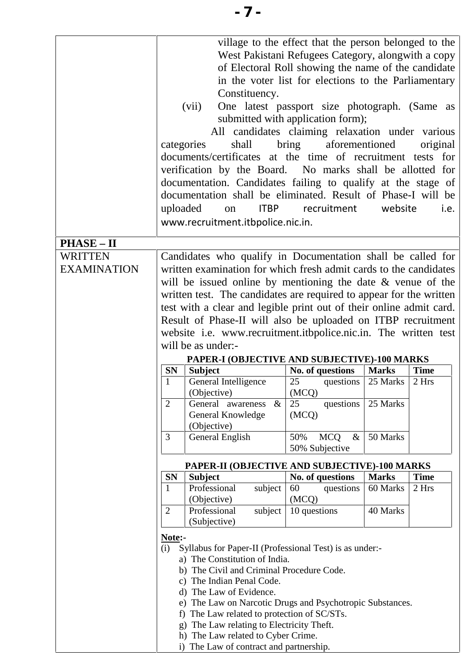|                    | uploaded       | Constituency.<br>(vii)<br>shall<br>categories<br>documents/certificates at the time of recruitment tests for<br>verification by the Board. No marks shall be allotted for<br>documentation. Candidates failing to qualify at the stage of<br>documentation shall be eliminated. Result of Phase-I will be<br>on<br>www.recruitment.itbpolice.nic.in. | village to the effect that the person belonged to the<br>West Pakistani Refugees Category, alongwith a copy<br>of Electoral Roll showing the name of the candidate<br>in the voter list for elections to the Parliamentary<br>One latest passport size photograph. (Same as<br>submitted with application form);<br>All candidates claiming relaxation under various<br>aforementioned<br>bring<br>ITBP recruitment | website      | original<br>i.e.     |
|--------------------|----------------|------------------------------------------------------------------------------------------------------------------------------------------------------------------------------------------------------------------------------------------------------------------------------------------------------------------------------------------------------|---------------------------------------------------------------------------------------------------------------------------------------------------------------------------------------------------------------------------------------------------------------------------------------------------------------------------------------------------------------------------------------------------------------------|--------------|----------------------|
| <b>PHASE - II</b>  |                |                                                                                                                                                                                                                                                                                                                                                      |                                                                                                                                                                                                                                                                                                                                                                                                                     |              |                      |
| <b>WRITTEN</b>     |                | Candidates who qualify in Documentation shall be called for                                                                                                                                                                                                                                                                                          |                                                                                                                                                                                                                                                                                                                                                                                                                     |              |                      |
| <b>EXAMINATION</b> |                | written examination for which fresh admit cards to the candidates                                                                                                                                                                                                                                                                                    |                                                                                                                                                                                                                                                                                                                                                                                                                     |              |                      |
|                    |                | will be issued online by mentioning the date $\&$ venue of the                                                                                                                                                                                                                                                                                       |                                                                                                                                                                                                                                                                                                                                                                                                                     |              |                      |
|                    |                | written test. The candidates are required to appear for the written                                                                                                                                                                                                                                                                                  |                                                                                                                                                                                                                                                                                                                                                                                                                     |              |                      |
|                    |                | test with a clear and legible print out of their online admit card.                                                                                                                                                                                                                                                                                  |                                                                                                                                                                                                                                                                                                                                                                                                                     |              |                      |
|                    |                |                                                                                                                                                                                                                                                                                                                                                      |                                                                                                                                                                                                                                                                                                                                                                                                                     |              |                      |
|                    |                | Result of Phase-II will also be uploaded on ITBP recruitment                                                                                                                                                                                                                                                                                         |                                                                                                                                                                                                                                                                                                                                                                                                                     |              |                      |
|                    |                | website i.e. www.recruitment.itbpolice.nic.in. The written test                                                                                                                                                                                                                                                                                      |                                                                                                                                                                                                                                                                                                                                                                                                                     |              |                      |
|                    |                | will be as under:-                                                                                                                                                                                                                                                                                                                                   |                                                                                                                                                                                                                                                                                                                                                                                                                     |              |                      |
|                    |                | PAPER-I (OBJECTIVE AND SUBJECTIVE)-100 MARKS                                                                                                                                                                                                                                                                                                         |                                                                                                                                                                                                                                                                                                                                                                                                                     |              |                      |
|                    | <b>SN</b>      | <b>Subject</b><br>General Intelligence                                                                                                                                                                                                                                                                                                               | No. of questions                                                                                                                                                                                                                                                                                                                                                                                                    | <b>Marks</b> | <b>Time</b><br>2 Hrs |
|                    | 1              | (Objective)                                                                                                                                                                                                                                                                                                                                          | 25<br>questions<br>(MCQ)                                                                                                                                                                                                                                                                                                                                                                                            | 25 Marks     |                      |
|                    | $\overline{2}$ | General awareness<br>$\&$                                                                                                                                                                                                                                                                                                                            | 25<br>questions                                                                                                                                                                                                                                                                                                                                                                                                     | 25 Marks     |                      |
|                    |                | General Knowledge                                                                                                                                                                                                                                                                                                                                    | (MCQ)                                                                                                                                                                                                                                                                                                                                                                                                               |              |                      |
|                    |                | (Objective)                                                                                                                                                                                                                                                                                                                                          |                                                                                                                                                                                                                                                                                                                                                                                                                     |              |                      |
|                    | 3              | General English                                                                                                                                                                                                                                                                                                                                      | <b>MCQ</b><br>50%<br>$\&$                                                                                                                                                                                                                                                                                                                                                                                           | 50 Marks     |                      |
|                    |                |                                                                                                                                                                                                                                                                                                                                                      | 50% Subjective                                                                                                                                                                                                                                                                                                                                                                                                      |              |                      |
|                    |                | PAPER-II (OBJECTIVE AND SUBJECTIVE)-100 MARKS                                                                                                                                                                                                                                                                                                        |                                                                                                                                                                                                                                                                                                                                                                                                                     |              |                      |
|                    | <b>SN</b>      | <b>Subject</b>                                                                                                                                                                                                                                                                                                                                       |                                                                                                                                                                                                                                                                                                                                                                                                                     |              |                      |
|                    |                |                                                                                                                                                                                                                                                                                                                                                      |                                                                                                                                                                                                                                                                                                                                                                                                                     | <b>Marks</b> | <b>Time</b>          |
|                    | 1              | Professional<br>subject                                                                                                                                                                                                                                                                                                                              | No. of questions<br>60<br>questions                                                                                                                                                                                                                                                                                                                                                                                 | 60 Marks     | 2 Hrs                |
|                    |                | (Objective)                                                                                                                                                                                                                                                                                                                                          | (MCQ)                                                                                                                                                                                                                                                                                                                                                                                                               |              |                      |
|                    | 2              | Professional<br>subject                                                                                                                                                                                                                                                                                                                              | 10 questions                                                                                                                                                                                                                                                                                                                                                                                                        | 40 Marks     |                      |
|                    |                | (Subjective)                                                                                                                                                                                                                                                                                                                                         |                                                                                                                                                                                                                                                                                                                                                                                                                     |              |                      |
|                    |                |                                                                                                                                                                                                                                                                                                                                                      |                                                                                                                                                                                                                                                                                                                                                                                                                     |              |                      |
|                    | Note:-<br>(i)  |                                                                                                                                                                                                                                                                                                                                                      |                                                                                                                                                                                                                                                                                                                                                                                                                     |              |                      |
|                    |                | Syllabus for Paper-II (Professional Test) is as under:-<br>a) The Constitution of India.                                                                                                                                                                                                                                                             |                                                                                                                                                                                                                                                                                                                                                                                                                     |              |                      |
|                    |                | b) The Civil and Criminal Procedure Code.                                                                                                                                                                                                                                                                                                            |                                                                                                                                                                                                                                                                                                                                                                                                                     |              |                      |
|                    |                | c) The Indian Penal Code.                                                                                                                                                                                                                                                                                                                            |                                                                                                                                                                                                                                                                                                                                                                                                                     |              |                      |
|                    |                | d) The Law of Evidence.                                                                                                                                                                                                                                                                                                                              |                                                                                                                                                                                                                                                                                                                                                                                                                     |              |                      |
|                    |                | e) The Law on Narcotic Drugs and Psychotropic Substances.                                                                                                                                                                                                                                                                                            |                                                                                                                                                                                                                                                                                                                                                                                                                     |              |                      |
|                    |                | f) The Law related to protection of SC/STs.                                                                                                                                                                                                                                                                                                          |                                                                                                                                                                                                                                                                                                                                                                                                                     |              |                      |
|                    |                | g) The Law relating to Electricity Theft.                                                                                                                                                                                                                                                                                                            |                                                                                                                                                                                                                                                                                                                                                                                                                     |              |                      |
|                    |                | h) The Law related to Cyber Crime.<br>i) The Law of contract and partnership.                                                                                                                                                                                                                                                                        |                                                                                                                                                                                                                                                                                                                                                                                                                     |              |                      |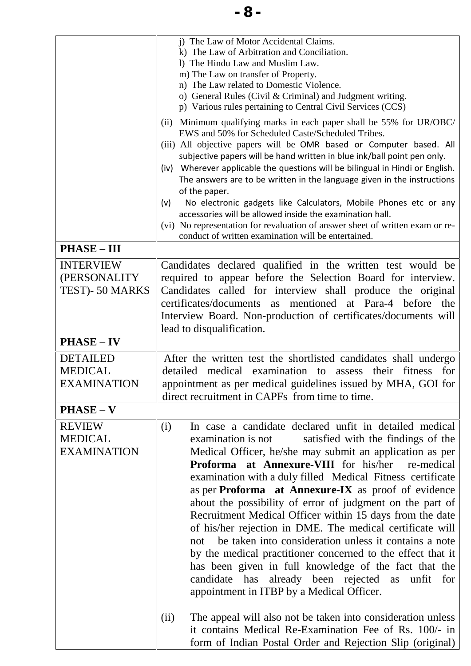|                                                         | i) The Law of Motor Accidental Claims.<br>k) The Law of Arbitration and Conciliation.<br>1) The Hindu Law and Muslim Law.<br>m) The Law on transfer of Property.<br>n) The Law related to Domestic Violence.<br>o) General Rules (Civil & Criminal) and Judgment writing.<br>p) Various rules pertaining to Central Civil Services (CCS)                                                                                                                                                                                                                                                                                                                                                                                                                                                                                                                                                                                       |
|---------------------------------------------------------|--------------------------------------------------------------------------------------------------------------------------------------------------------------------------------------------------------------------------------------------------------------------------------------------------------------------------------------------------------------------------------------------------------------------------------------------------------------------------------------------------------------------------------------------------------------------------------------------------------------------------------------------------------------------------------------------------------------------------------------------------------------------------------------------------------------------------------------------------------------------------------------------------------------------------------|
|                                                         | Minimum qualifying marks in each paper shall be 55% for UR/OBC/<br>(i)<br>EWS and 50% for Scheduled Caste/Scheduled Tribes.<br>(iii) All objective papers will be OMR based or Computer based. All<br>subjective papers will be hand written in blue ink/ball point pen only.<br>(iv) Wherever applicable the questions will be bilingual in Hindi or English.<br>The answers are to be written in the language given in the instructions<br>of the paper.<br>No electronic gadgets like Calculators, Mobile Phones etc or any<br>(v)<br>accessories will be allowed inside the examination hall.<br>(vi) No representation for revaluation of answer sheet of written exam or re-<br>conduct of written examination will be entertained.                                                                                                                                                                                      |
| <b>PHASE - III</b>                                      |                                                                                                                                                                                                                                                                                                                                                                                                                                                                                                                                                                                                                                                                                                                                                                                                                                                                                                                                |
| <b>INTERVIEW</b><br>(PERSONALITY)<br>TEST)-50 MARKS     | Candidates declared qualified in the written test would be<br>required to appear before the Selection Board for interview.<br>Candidates called for interview shall produce the original<br>certificates/documents as mentioned at Para-4 before the<br>Interview Board. Non-production of certificates/documents will<br>lead to disqualification.                                                                                                                                                                                                                                                                                                                                                                                                                                                                                                                                                                            |
| <b>PHASE - IV</b>                                       |                                                                                                                                                                                                                                                                                                                                                                                                                                                                                                                                                                                                                                                                                                                                                                                                                                                                                                                                |
| <b>DETAILED</b><br><b>MEDICAL</b><br><b>EXAMINATION</b> | After the written test the shortlisted candidates shall undergo<br>detailed medical examination to assess their fitness for<br>appointment as per medical guidelines issued by MHA, GOI for<br>direct recruitment in CAPFs from time to time.                                                                                                                                                                                                                                                                                                                                                                                                                                                                                                                                                                                                                                                                                  |
| $PHASE-V$                                               |                                                                                                                                                                                                                                                                                                                                                                                                                                                                                                                                                                                                                                                                                                                                                                                                                                                                                                                                |
| <b>REVIEW</b><br><b>MEDICAL</b><br><b>EXAMINATION</b>   | In case a candidate declared unfit in detailed medical<br>(i)<br>satisfied with the findings of the<br>examination is not<br>Medical Officer, he/she may submit an application as per<br><b>Proforma at Annexure-VIII</b> for his/her<br>re-medical<br>examination with a duly filled Medical Fitness certificate<br>as per Proforma at Annexure-IX as proof of evidence<br>about the possibility of error of judgment on the part of<br>Recruitment Medical Officer within 15 days from the date<br>of his/her rejection in DME. The medical certificate will<br>be taken into consideration unless it contains a note<br>not<br>by the medical practitioner concerned to the effect that it<br>has been given in full knowledge of the fact that the<br>candidate has already been rejected as unfit for<br>appointment in ITBP by a Medical Officer.<br>The appeal will also not be taken into consideration unless<br>(ii) |
|                                                         | it contains Medical Re-Examination Fee of Rs. 100/- in<br>form of Indian Postal Order and Rejection Slip (original)                                                                                                                                                                                                                                                                                                                                                                                                                                                                                                                                                                                                                                                                                                                                                                                                            |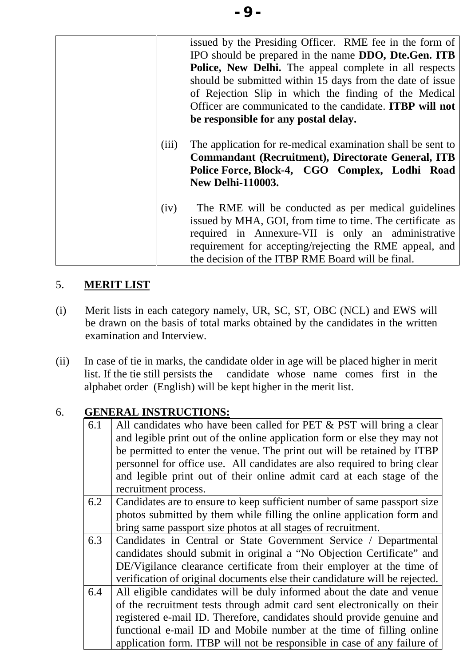|       | issued by the Presiding Officer. RME fee in the form of         |
|-------|-----------------------------------------------------------------|
|       | IPO should be prepared in the name DDO, Dte.Gen. ITB            |
|       | Police, New Delhi. The appeal complete in all respects          |
|       | should be submitted within 15 days from the date of issue       |
|       | of Rejection Slip in which the finding of the Medical           |
|       | Officer are communicated to the candidate. <b>ITBP will not</b> |
|       | be responsible for any postal delay.                            |
|       |                                                                 |
| (iii) | The application for re-medical examination shall be sent to     |
|       | <b>Commandant (Recruitment), Directorate General, ITB</b>       |
|       | Police Force, Block-4, CGO Complex, Lodhi Road                  |
|       | <b>New Delhi-110003.</b>                                        |
|       |                                                                 |
| (iv)  | The RME will be conducted as per medical guidelines             |
|       | issued by MHA, GOI, from time to time. The certificate as       |
|       | required in Annexure-VII is only an administrative              |
|       | requirement for accepting/rejecting the RME appeal, and         |
|       | the decision of the ITBP RME Board will be final.               |
|       |                                                                 |

# 5. **MERIT LIST**

- (i) Merit lists in each category namely, UR, SC, ST, OBC (NCL) and EWS will be drawn on the basis of total marks obtained by the candidates in the written examination and Interview.
- (ii) In case of tie in marks, the candidate older in age will be placed higher in merit list. If the tie still persists the candidate whose name comes first in the alphabet order (English) will be kept higher in the merit list.

# 6. **GENERAL INSTRUCTIONS:**

| 6.1 | All candidates who have been called for PET & PST will bring a clear<br>and legible print out of the online application form or else they may not |
|-----|---------------------------------------------------------------------------------------------------------------------------------------------------|
|     | be permitted to enter the venue. The print out will be retained by ITBP                                                                           |
|     | personnel for office use. All candidates are also required to bring clear                                                                         |
|     | and legible print out of their online admit card at each stage of the                                                                             |
|     | recruitment process.                                                                                                                              |
| 6.2 | Candidates are to ensure to keep sufficient number of same passport size                                                                          |
|     | photos submitted by them while filling the online application form and                                                                            |
|     | bring same passport size photos at all stages of recruitment.                                                                                     |
| 6.3 | Candidates in Central or State Government Service / Departmental                                                                                  |
|     | candidates should submit in original a "No Objection Certificate" and                                                                             |
|     | DE/Vigilance clearance certificate from their employer at the time of                                                                             |
|     | verification of original documents else their candidature will be rejected.                                                                       |
| 6.4 | All eligible candidates will be duly informed about the date and venue                                                                            |
|     | of the recruitment tests through admit card sent electronically on their                                                                          |
|     | registered e-mail ID. Therefore, candidates should provide genuine and                                                                            |
|     | functional e-mail ID and Mobile number at the time of filling online                                                                              |
|     | application form. ITBP will not be responsible in case of any failure of                                                                          |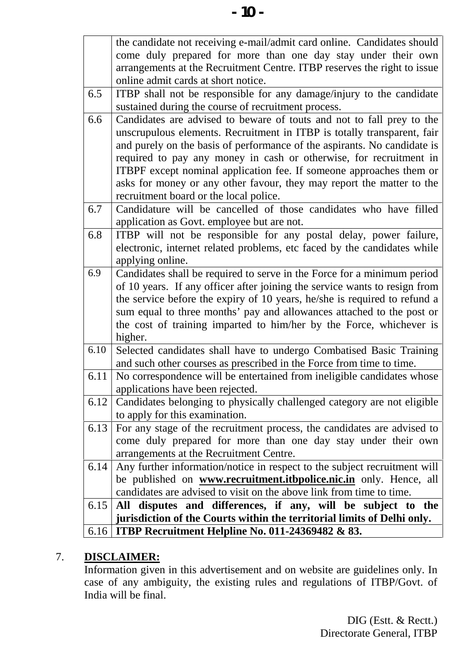|      | the candidate not receiving e-mail/admit card online. Candidates should<br>come duly prepared for more than one day stay under their own<br>arrangements at the Recruitment Centre. ITBP reserves the right to issue                                                                                                                                                                          |
|------|-----------------------------------------------------------------------------------------------------------------------------------------------------------------------------------------------------------------------------------------------------------------------------------------------------------------------------------------------------------------------------------------------|
|      | online admit cards at short notice.                                                                                                                                                                                                                                                                                                                                                           |
| 6.5  | ITBP shall not be responsible for any damage/injury to the candidate                                                                                                                                                                                                                                                                                                                          |
|      | sustained during the course of recruitment process.                                                                                                                                                                                                                                                                                                                                           |
| 6.6  | Candidates are advised to beware of touts and not to fall prey to the<br>unscrupulous elements. Recruitment in ITBP is totally transparent, fair<br>and purely on the basis of performance of the aspirants. No candidate is                                                                                                                                                                  |
|      | required to pay any money in cash or otherwise, for recruitment in<br>ITBPF except nominal application fee. If someone approaches them or<br>asks for money or any other favour, they may report the matter to the<br>recruitment board or the local police.                                                                                                                                  |
| 6.7  | Candidature will be cancelled of those candidates who have filled                                                                                                                                                                                                                                                                                                                             |
|      | application as Govt. employee but are not.                                                                                                                                                                                                                                                                                                                                                    |
| 6.8  | ITBP will not be responsible for any postal delay, power failure,<br>electronic, internet related problems, etc faced by the candidates while<br>applying online.                                                                                                                                                                                                                             |
| 6.9  | Candidates shall be required to serve in the Force for a minimum period<br>of 10 years. If any officer after joining the service wants to resign from<br>the service before the expiry of 10 years, he/she is required to refund a<br>sum equal to three months' pay and allowances attached to the post or<br>the cost of training imparted to him/her by the Force, whichever is<br>higher. |
| 6.10 | Selected candidates shall have to undergo Combatised Basic Training<br>and such other courses as prescribed in the Force from time to time.                                                                                                                                                                                                                                                   |
| 6.11 | No correspondence will be entertained from ineligible candidates whose<br>applications have been rejected.                                                                                                                                                                                                                                                                                    |
| 6.12 | Candidates belonging to physically challenged category are not eligible<br>to apply for this examination.                                                                                                                                                                                                                                                                                     |
| 6.13 | For any stage of the recruitment process, the candidates are advised to<br>come duly prepared for more than one day stay under their own<br>arrangements at the Recruitment Centre.                                                                                                                                                                                                           |
| 6.14 | Any further information/notice in respect to the subject recruitment will<br>be published on <b>www.recruitment.itbpolice.nic.in</b> only. Hence, all<br>candidates are advised to visit on the above link from time to time.                                                                                                                                                                 |
|      |                                                                                                                                                                                                                                                                                                                                                                                               |
| 6.15 | disputes and differences, if any, will be subject to the<br>All                                                                                                                                                                                                                                                                                                                               |
|      | jurisdiction of the Courts within the territorial limits of Delhi only.                                                                                                                                                                                                                                                                                                                       |
| 6.16 | ITBP Recruitment Helpline No. 011-24369482 & 83.                                                                                                                                                                                                                                                                                                                                              |

## 7. **DISCLAIMER:**

Information given in this advertisement and on website are guidelines only. In case of any ambiguity, the existing rules and regulations of ITBP/Govt. of India will be final.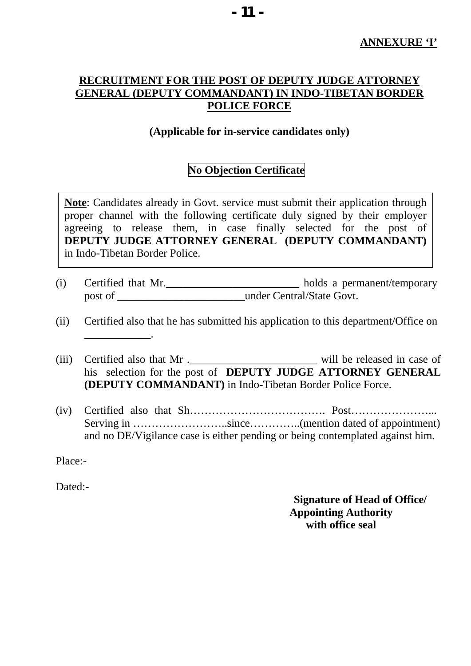#### **RECRUITMENT FOR THE POST OF DEPUTY JUDGE ATTORNEY GENERAL (DEPUTY COMMANDANT) IN INDO-TIBETAN BORDER POLICE FORCE**

#### **(Applicable for in-service candidates only)**

#### **No Objection Certificate**

**Note**: Candidates already in Govt. service must submit their application through proper channel with the following certificate duly signed by their employer agreeing to release them, in case finally selected for the post of **DEPUTY JUDGE ATTORNEY GENERAL (DEPUTY COMMANDANT)** in Indo-Tibetan Border Police.

(i) Certified that Mr.\_\_\_\_\_\_\_\_\_\_\_\_\_\_\_\_\_\_\_\_\_\_\_\_ holds a permanent/temporary post of \_\_\_\_\_\_\_\_\_\_\_\_\_\_\_\_\_\_\_\_\_\_\_\_\_\_\_\_\_\_under Central/State Govt.

(ii) Certified also that he has submitted his application to this department/Office on \_\_\_\_\_\_\_\_\_\_\_\_.

(iii) Certified also that Mr .\_\_\_\_\_\_\_\_\_\_\_\_\_\_\_\_\_\_\_\_\_\_\_\_\_\_\_\_\_\_\_\_ will be released in case of his selection for the post of **DEPUTY JUDGE ATTORNEY GENERAL (DEPUTY COMMANDANT)** in Indo-Tibetan Border Police Force.

(iv) Certified also that Sh………………………………. Post…………………... Serving in ……………………..since…………..(mention dated of appointment) and no DE/Vigilance case is either pending or being contemplated against him.

Place:-

Dated:-

**Signature of Head of Office/ Appointing Authority with office seal**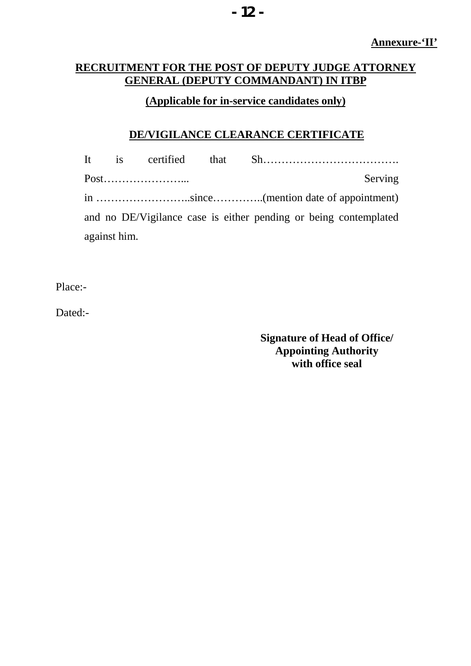## **RECRUITMENT FOR THE POST OF DEPUTY JUDGE ATTORNEY GENERAL (DEPUTY COMMANDANT) IN ITBP**

## **(Applicable for in-service candidates only)**

### **DE/VIGILANCE CLEARANCE CERTIFICATE**

|                                                                  | It is |      |  |         |  |  |  |  |
|------------------------------------------------------------------|-------|------|--|---------|--|--|--|--|
|                                                                  |       | Post |  | Serving |  |  |  |  |
|                                                                  |       |      |  |         |  |  |  |  |
| and no DE/Vigilance case is either pending or being contemplated |       |      |  |         |  |  |  |  |
| against him.                                                     |       |      |  |         |  |  |  |  |

Place:-

Dated:-

**Signature of Head of Office/ Appointing Authority with office seal**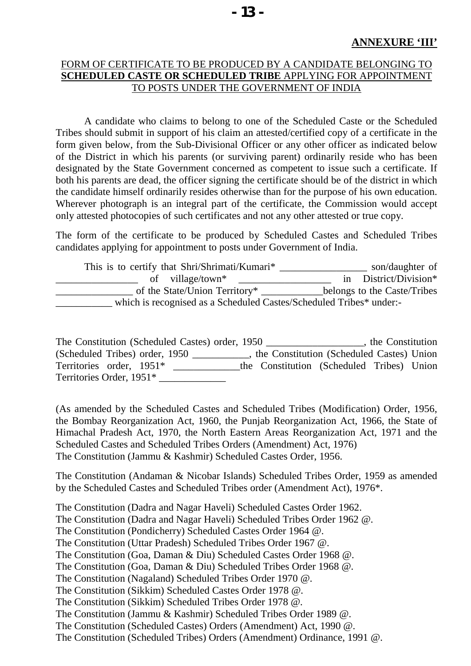#### FORM OF CERTIFICATE TO BE PRODUCED BY A CANDIDATE BELONGING TO **SCHEDULED CASTE OR SCHEDULED TRIBE** APPLYING FOR APPOINTMENT TO POSTS UNDER THE GOVERNMENT OF INDIA

A candidate who claims to belong to one of the Scheduled Caste or the Scheduled Tribes should submit in support of his claim an attested/certified copy of a certificate in the form given below, from the Sub-Divisional Officer or any other officer as indicated below of the District in which his parents (or surviving parent) ordinarily reside who has been designated by the State Government concerned as competent to issue such a certificate. If both his parents are dead, the officer signing the certificate should be of the district in which the candidate himself ordinarily resides otherwise than for the purpose of his own education. Wherever photograph is an integral part of the certificate, the Commission would accept only attested photocopies of such certificates and not any other attested or true copy.

The form of the certificate to be produced by Scheduled Castes and Scheduled Tribes candidates applying for appointment to posts under Government of India.

| This is to certify that Shri/Shrimati/Kumari*                       | son/daughter of             |
|---------------------------------------------------------------------|-----------------------------|
| village/town*<br>of                                                 | District/Division*          |
| of the State/Union Territory*                                       | belongs to the Caste/Tribes |
| which is recognised as a Scheduled Castes/Scheduled Tribes* under:- |                             |

The Constitution (Scheduled Castes) order, 1950 \_\_\_\_\_\_\_\_\_\_\_\_\_\_\_\_\_, the Constitution (Scheduled Tribes) order, 1950 \_\_\_\_\_\_\_\_\_\_\_, the Constitution (Scheduled Castes) Union Territories order, 1951\* \_\_\_\_\_\_\_\_\_\_\_\_\_the Constitution (Scheduled Tribes) Union Territories Order, 1951\* \_\_\_\_\_\_\_\_\_\_\_\_\_

(As amended by the Scheduled Castes and Scheduled Tribes (Modification) Order, 1956, the Bombay Reorganization Act, 1960, the Punjab Reorganization Act, 1966, the State of Himachal Pradesh Act, 1970, the North Eastern Areas Reorganization Act, 1971 and the Scheduled Castes and Scheduled Tribes Orders (Amendment) Act, 1976) The Constitution (Jammu & Kashmir) Scheduled Castes Order, 1956.

The Constitution (Andaman & Nicobar Islands) Scheduled Tribes Order, 1959 as amended by the Scheduled Castes and Scheduled Tribes order (Amendment Act), 1976\*.

The Constitution (Dadra and Nagar Haveli) Scheduled Castes Order 1962. The Constitution (Dadra and Nagar Haveli) Scheduled Tribes Order 1962 @. The Constitution (Pondicherry) Scheduled Castes Order 1964 @. The Constitution (Uttar Pradesh) Scheduled Tribes Order 1967 @. The Constitution (Goa, Daman & Diu) Scheduled Castes Order 1968 @. The Constitution (Goa, Daman & Diu) Scheduled Tribes Order 1968 @. The Constitution (Nagaland) Scheduled Tribes Order 1970 @. The Constitution (Sikkim) Scheduled Castes Order 1978 @. The Constitution (Sikkim) Scheduled Tribes Order 1978 @. The Constitution (Jammu & Kashmir) Scheduled Tribes Order 1989 @. The Constitution (Scheduled Castes) Orders (Amendment) Act, 1990 @. The Constitution (Scheduled Tribes) Orders (Amendment) Ordinance, 1991 @.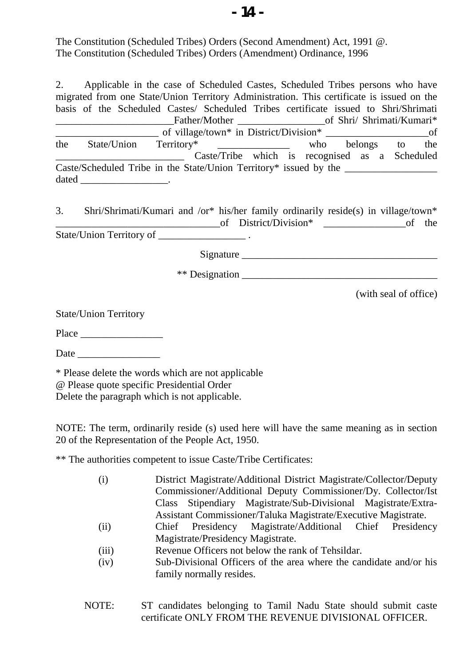The Constitution (Scheduled Tribes) Orders (Second Amendment) Act, 1991 @. The Constitution (Scheduled Tribes) Orders (Amendment) Ordinance, 1996

2. Applicable in the case of Scheduled Castes, Scheduled Tribes persons who have migrated from one State/Union Territory Administration. This certificate is issued on the basis of the Scheduled Castes/ Scheduled Tribes certificate issued to Shri/Shrimati Father/Mother of Shri/ Shrimati/Kumari\* \_\_\_\_\_\_\_\_\_\_\_\_\_\_\_\_\_\_\_\_ of village/town\* in District/Division\* \_\_\_\_\_\_\_\_\_\_\_\_\_\_\_\_\_\_\_\_of the State/Union Territory\* \_\_\_\_\_\_\_\_\_\_\_\_\_\_ who belongs to the Caste/Tribe which is recognised as a Scheduled Caste/Scheduled Tribe in the State/Union Territory\* issued by the dated \_\_\_\_\_\_\_\_\_\_\_\_\_\_\_\_\_.

3. Shri/Shrimati/Kumari and /or\* his/her family ordinarily reside(s) in village/town\* \_\_\_\_\_\_\_\_\_\_\_\_\_\_\_\_\_\_\_\_\_\_\_\_\_\_\_\_\_\_\_\_of District/Division\* \_\_\_\_\_\_\_\_\_\_\_\_\_\_\_\_of the State/Union Territory of  $\qquad \qquad .$ 

Signature \_\_\_\_\_\_\_\_\_\_\_\_\_\_\_\_\_\_\_\_\_\_\_\_\_\_\_\_\_\_\_\_\_\_\_\_\_\_

\*\* Designation

(with seal of office)

State/Union Territory

Place  $\Box$ 

Date  $\Box$ 

\* Please delete the words which are not applicable @ Please quote specific Presidential Order Delete the paragraph which is not applicable.

NOTE: The term, ordinarily reside (s) used here will have the same meaning as in section 20 of the Representation of the People Act, 1950.

\*\* The authorities competent to issue Caste/Tribe Certificates:

| (i)   | District Magistrate/Additional District Magistrate/Collector/Deputy |  |  |  |  |  |  |  |  |  |  |
|-------|---------------------------------------------------------------------|--|--|--|--|--|--|--|--|--|--|
|       | Commissioner/Additional Deputy Commissioner/Dy. Collector/Ist       |  |  |  |  |  |  |  |  |  |  |
|       | Class Stipendiary Magistrate/Sub-Divisional Magistrate/Extra-       |  |  |  |  |  |  |  |  |  |  |
|       | Assistant Commissioner/Taluka Magistrate/Executive Magistrate.      |  |  |  |  |  |  |  |  |  |  |
| (ii)  | Chief Presidency Magistrate/Additional Chief Presidency             |  |  |  |  |  |  |  |  |  |  |
|       | Magistrate/Presidency Magistrate.                                   |  |  |  |  |  |  |  |  |  |  |
| (iii) | Devenue Officers not below the rank of Tebsilder                    |  |  |  |  |  |  |  |  |  |  |

- (iii) Revenue Officers not below the rank of Tehsildar.
- (iv) Sub-Divisional Officers of the area where the candidate and/or his family normally resides.
- NOTE: ST candidates belonging to Tamil Nadu State should submit caste certificate ONLY FROM THE REVENUE DIVISIONAL OFFICER.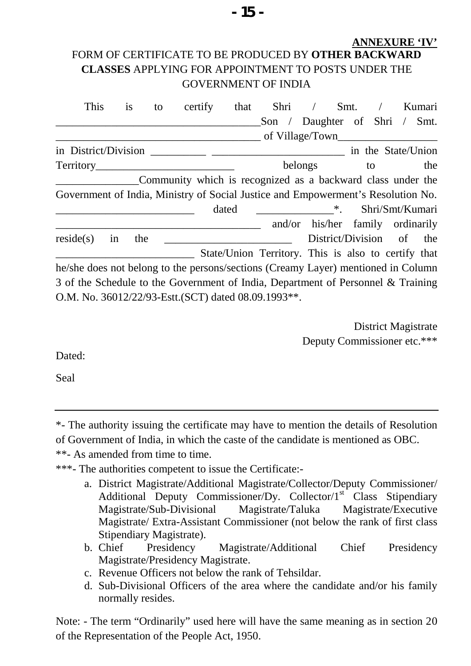## **ANNEXURE 'IV'** FORM OF CERTIFICATE TO BE PRODUCED BY **OTHER BACKWARD CLASSES** APPLYING FOR APPOINTMENT TO POSTS UNDER THE GOVERNMENT OF INDIA

| This                                                                              | 1S  | to | certify                                                     | that  | Shri            |         | Smt.              |    | Kumari                                              |
|-----------------------------------------------------------------------------------|-----|----|-------------------------------------------------------------|-------|-----------------|---------|-------------------|----|-----------------------------------------------------|
|                                                                                   |     |    |                                                             |       | Son $\angle$    |         |                   |    | Daughter of Shri / Smt.                             |
|                                                                                   |     |    |                                                             |       | of Village/Town |         |                   |    |                                                     |
| in District/Division                                                              |     |    | in the State/Union                                          |       |                 |         |                   |    |                                                     |
| Territory                                                                         |     |    |                                                             |       |                 | belongs |                   | to | the                                                 |
|                                                                                   |     |    | Community which is recognized as a backward class under the |       |                 |         |                   |    |                                                     |
| Government of India, Ministry of Social Justice and Empowerment's Resolution No.  |     |    |                                                             |       |                 |         |                   |    |                                                     |
|                                                                                   |     |    |                                                             | dated | $\ddot{x}$      |         |                   |    | Shri/Smt/Kumari                                     |
|                                                                                   |     |    |                                                             |       |                 |         |                   |    | and/or his/her family ordinarily                    |
| reside(s)<br>in                                                                   | the |    |                                                             |       |                 |         | District/Division |    | of<br>the                                           |
|                                                                                   |     |    |                                                             |       |                 |         |                   |    | State/Union Territory. This is also to certify that |
| he/she does not belong to the persons/sections (Creamy Layer) mentioned in Column |     |    |                                                             |       |                 |         |                   |    |                                                     |
| 3 of the Schedule to the Government of India, Department of Personnel & Training  |     |    |                                                             |       |                 |         |                   |    |                                                     |
| O.M. No. 36012/22/93-Estt.(SCT) dated 08.09.1993**.                               |     |    |                                                             |       |                 |         |                   |    |                                                     |

District Magistrate Deputy Commissioner etc.\*\*\*

Dated:

Seal

\*- The authority issuing the certificate may have to mention the details of Resolution of Government of India, in which the caste of the candidate is mentioned as OBC. \*\*- As amended from time to time.

\*\*\*- The authorities competent to issue the Certificate:-

- a. District Magistrate/Additional Magistrate/Collector/Deputy Commissioner/ Additional Deputy Commissioner/Dy. Collector/ $1<sup>st</sup>$  Class Stipendiary Magistrate/Sub-Divisional Magistrate/Taluka Magistrate/Executive Magistrate/ Extra-Assistant Commissioner (not below the rank of first class Stipendiary Magistrate).
- b. Chief Presidency Magistrate/Additional Chief Presidency Magistrate/Presidency Magistrate.
- c. Revenue Officers not below the rank of Tehsildar.
- d. Sub-Divisional Officers of the area where the candidate and/or his family normally resides.

Note: - The term "Ordinarily" used here will have the same meaning as in section 20 of the Representation of the People Act, 1950.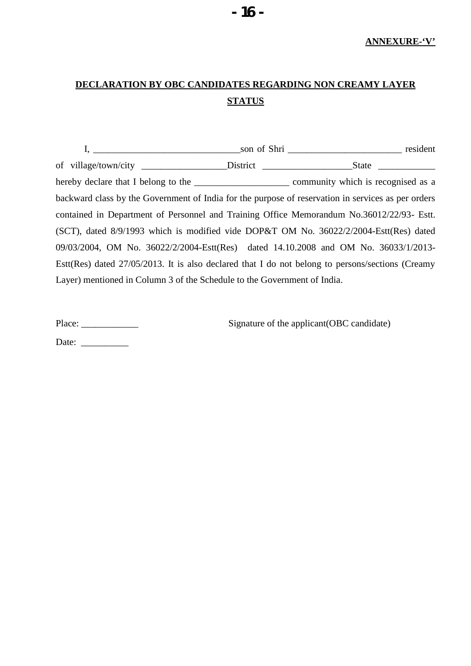# **DECLARATION BY OBC CANDIDATES REGARDING NON CREAMY LAYER STATUS**

|                                                                          | backward class by the Government of India for the purpose of reservation in services as per orders  |
|--------------------------------------------------------------------------|-----------------------------------------------------------------------------------------------------|
|                                                                          | contained in Department of Personnel and Training Office Memorandum No.36012/22/93- Estt.           |
|                                                                          | (SCT), dated $8/9/1993$ which is modified vide DOP&T OM No. $36022/2/2004$ -Estt(Res) dated         |
|                                                                          | 09/03/2004, OM No. 36022/2/2004-Estt(Res) dated 14.10.2008 and OM No. 36033/1/2013-                 |
|                                                                          | Estt(Res) dated $27/05/2013$ . It is also declared that I do not belong to persons/sections (Creamy |
| Layer) mentioned in Column 3 of the Schedule to the Government of India. |                                                                                                     |

Place: \_\_\_\_\_\_\_\_\_\_\_\_ Signature of the applicant(OBC candidate)

Date: \_\_\_\_\_\_\_\_\_\_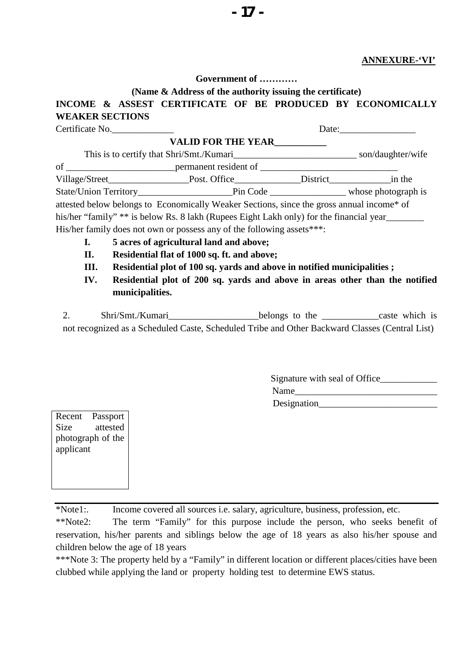#### **ANNEXURE-'VI'**

**Government of …………**

#### **(Name & Address of the authority issuing the certificate) INCOME & ASSEST CERTIFICATE OF BE PRODUCED BY ECONOMICALLY WEAKER SECTIONS**

|      | Certificate No.                                                                                        | Date: |  |
|------|--------------------------------------------------------------------------------------------------------|-------|--|
|      | <b>VALID FOR THE YEAR</b>                                                                              |       |  |
|      |                                                                                                        |       |  |
|      |                                                                                                        |       |  |
|      | Village/Street__________________________Post. Office__________________District__________________in the |       |  |
|      |                                                                                                        |       |  |
|      | attested below belongs to Economically Weaker Sections, since the gross annual income* of              |       |  |
|      | his/her "family" ** is below Rs. 8 lakh (Rupees Eight Lakh only) for the financial year                |       |  |
|      | His/her family does not own or possess any of the following assets***:                                 |       |  |
| I.   | 5 acres of agricultural land and above;                                                                |       |  |
| П.   | Residential flat of 1000 sq. ft. and above;                                                            |       |  |
| III. | Residential plot of 100 sq. yards and above in notified municipalities;                                |       |  |
| TV 7 | וו והווי יוויות ההממונות הדיוו                                                                         |       |  |

**IV. Residential plot of 200 sq. yards and above in areas other than the notified municipalities.**

| Shri/Smt./Kumari | belongs to the                                                                                 | caste which is |
|------------------|------------------------------------------------------------------------------------------------|----------------|
|                  | not recognized as a Scheduled Caste, Scheduled Tribe and Other Backward Classes (Central List) |                |

| Signature with seal of Office |  |
|-------------------------------|--|
| Name                          |  |
| Designation                   |  |

Recent Passport Size attested photograph of the applicant

\*Note1:. Income covered all sources i.e. salary, agriculture, business, profession, etc.

\*\*Note2: The term "Family" for this purpose include the person, who seeks benefit of reservation, his/her parents and siblings below the age of 18 years as also his/her spouse and children below the age of 18 years

\*\*\*Note 3: The property held by a "Family" in different location or different places/cities have been clubbed while applying the land or property holding test to determine EWS status.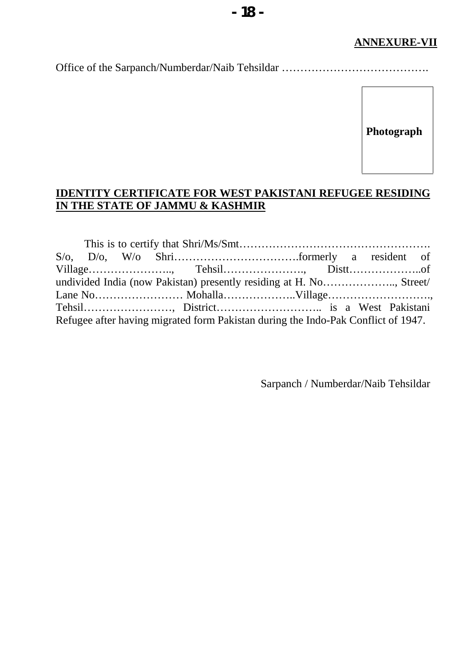# **ANNEXURE-VII**

Office of the Sarpanch/Numberdar/Naib Tehsildar ………………………………….

**Photograph**

#### **IDENTITY CERTIFICATE FOR WEST PAKISTANI REFUGEE RESIDING IN THE STATE OF JAMMU & KASHMIR**

|  | undivided India (now Pakistan) presently residing at H. No, Street/               |  |  |
|--|-----------------------------------------------------------------------------------|--|--|
|  |                                                                                   |  |  |
|  |                                                                                   |  |  |
|  | Refugee after having migrated form Pakistan during the Indo-Pak Conflict of 1947. |  |  |

Sarpanch / Numberdar/Naib Tehsildar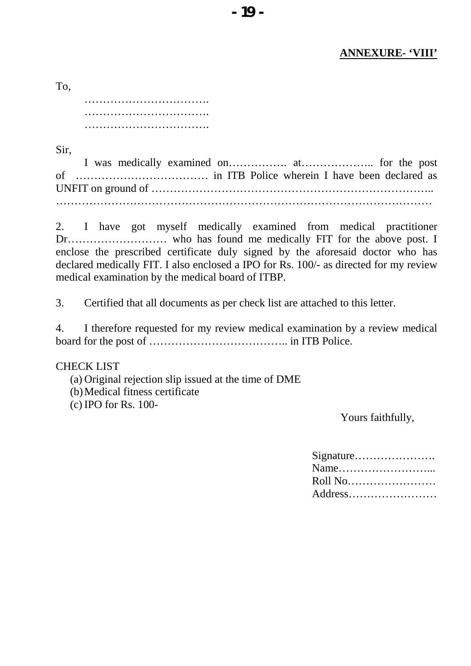#### **ANNEXURE- 'VIII'**

|  |  |  |  |  | . |  |  |  |  | . |  |  |  |  |  |  |  |  |
|--|--|--|--|--|---|--|--|--|--|---|--|--|--|--|--|--|--|--|

Sir,

To,

I was medically examined on……………. at……………….. for the post of ……………………………… in ITB Police wherein I have been declared as UNFIT on ground of ………………………………………………………………….. …………………………………………………………………………………………

2. I have got myself medically examined from medical practitioner Dr……………………… who has found me medically FIT for the above post. I enclose the prescribed certificate duly signed by the aforesaid doctor who has declared medically FIT. I also enclosed a IPO for Rs. 100/- as directed for my review medical examination by the medical board of ITBP.

3. Certified that all documents as per check list are attached to this letter.

4. I therefore requested for my review medical examination by a review medical board for the post of ……………………………….. in ITB Police.

#### CHECK LIST

(a) Original rejection slip issued at the time of DME (b)Medical fitness certificate (c) IPO for Rs. 100-

Yours faithfully,

| Roll No |
|---------|
| Address |
|         |